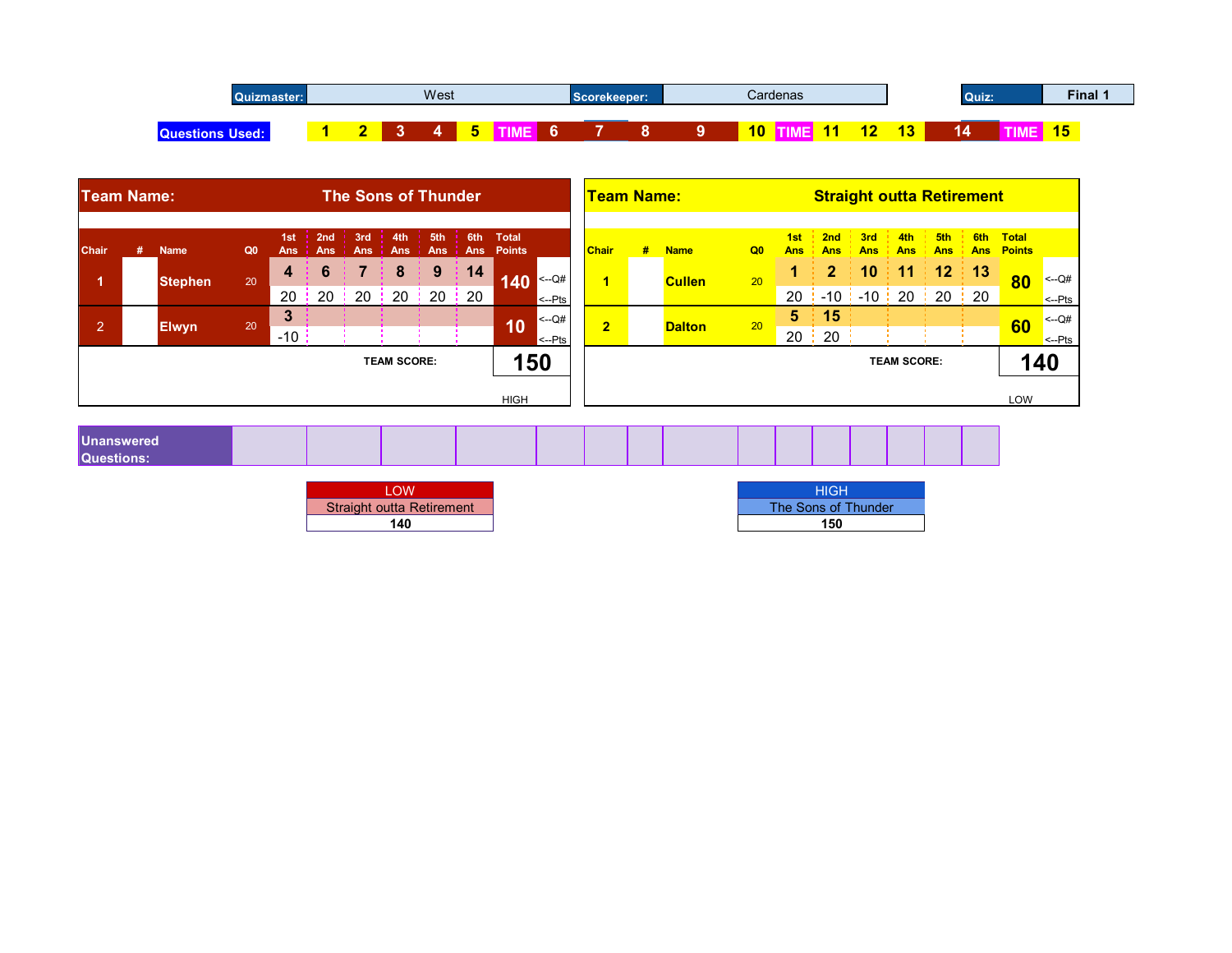| $\Omega$<br>lizmaster:' |  | West |  | Scorekeeper: |  |    | Cardenas |                   |                          | Quiz:                                                                                              | <b>Final</b>          |  |
|-------------------------|--|------|--|--------------|--|----|----------|-------------------|--------------------------|----------------------------------------------------------------------------------------------------|-----------------------|--|
| <b>Que</b><br>,,,,,,,   |  |      |  |              |  | 10 |          | <b>CONTRACTOR</b> | $\overline{ }$<br>$\sim$ | z<br>-<br>$\mathcal{L}(\mathcal{L})$ and $\mathcal{L}(\mathcal{L})$ and $\mathcal{L}(\mathcal{L})$ | <b>AF</b><br><b>D</b> |  |

| 5 TIME 6<br>$\overline{7}$<br>$\overline{2}$<br>3 <sup>°</sup><br>8<br>9<br>10 TIME 11<br>12<br>13<br>$\overline{\mathbf{4}}$<br>14<br>$\blacktriangleleft$<br><b>Questions Used:</b><br><b>Straight outta Retirement</b><br><b>The Sons of Thunder</b><br><b>Team Name:</b><br><b>Team Name:</b><br>3rd 4th 5th 6th Total<br>2nd<br>5th<br>$\frac{1}{2}$ 2nd<br>3rd<br>4th<br>1st<br>1st<br>Ans Points<br><b>Chair</b><br>#<br><b>Chair</b><br>Q <sub>0</sub><br>Q <sub>0</sub><br>Ans<br><b>Name</b><br><b>Ans</b><br><b>Ans</b><br>#<br><b>Name</b><br>Ans<br><b>Ans</b><br><b>Ans</b><br><b>Ans</b><br><b>Ans</b><br>Ans<br>Ans :<br>11<br>12<br>9<br>$\mathbf{2}$<br>10<br>8<br>14<br>6<br>4<br>$140$ $\sim 0$<br>20<br>20<br>$\blacktriangleleft$<br><b>Stephen</b><br><b>Cullen</b> | TIME 15                                     |
|--------------------------------------------------------------------------------------------------------------------------------------------------------------------------------------------------------------------------------------------------------------------------------------------------------------------------------------------------------------------------------------------------------------------------------------------------------------------------------------------------------------------------------------------------------------------------------------------------------------------------------------------------------------------------------------------------------------------------------------------------------------------------------------------|---------------------------------------------|
|                                                                                                                                                                                                                                                                                                                                                                                                                                                                                                                                                                                                                                                                                                                                                                                            |                                             |
|                                                                                                                                                                                                                                                                                                                                                                                                                                                                                                                                                                                                                                                                                                                                                                                            |                                             |
|                                                                                                                                                                                                                                                                                                                                                                                                                                                                                                                                                                                                                                                                                                                                                                                            | 6th Total<br><b>Ans Points</b>              |
| 20<br>$-10$ : $-10$ : 20 : 20 : 20<br>20<br>20<br>$20 \div 20$<br>20:<br>20<br>$\left  \leftarrow$ -Pts                                                                                                                                                                                                                                                                                                                                                                                                                                                                                                                                                                                                                                                                                    | 13<br>80<br>$\sim$ -Q#<br>$\leftarrow$ -Pts |
| $\mathbf{3}$<br>5 <sup>1</sup><br>15<br>$\left  \leftarrow Q \right $<br>10<br>2 <sup>1</sup><br>$\overline{2}$<br>20<br>20<br><b>Dalton</b><br><b>Elwyn</b><br>$20 \frac{1}{2}$<br>20<br>$-10$<br>$\left  \leftarrow$ -Pts                                                                                                                                                                                                                                                                                                                                                                                                                                                                                                                                                                | $<-Q#$<br>60<br>$\leftarrow$ -Pts           |
| 150<br><b>TEAM SCORE:</b><br><b>TEAM SCORE:</b>                                                                                                                                                                                                                                                                                                                                                                                                                                                                                                                                                                                                                                                                                                                                            | 140                                         |

| nanswered |  |  |  |  |  |  |  |  |
|-----------|--|--|--|--|--|--|--|--|
| T         |  |  |  |  |  |  |  |  |

| <b>Straight outta Retirement</b> |  |
|----------------------------------|--|
| 14 N                             |  |

| <b>LOW</b>                       | HIGH                |
|----------------------------------|---------------------|
| <b>Straight outta Retirement</b> | The Sons of Thunder |
| 140                              | 150                 |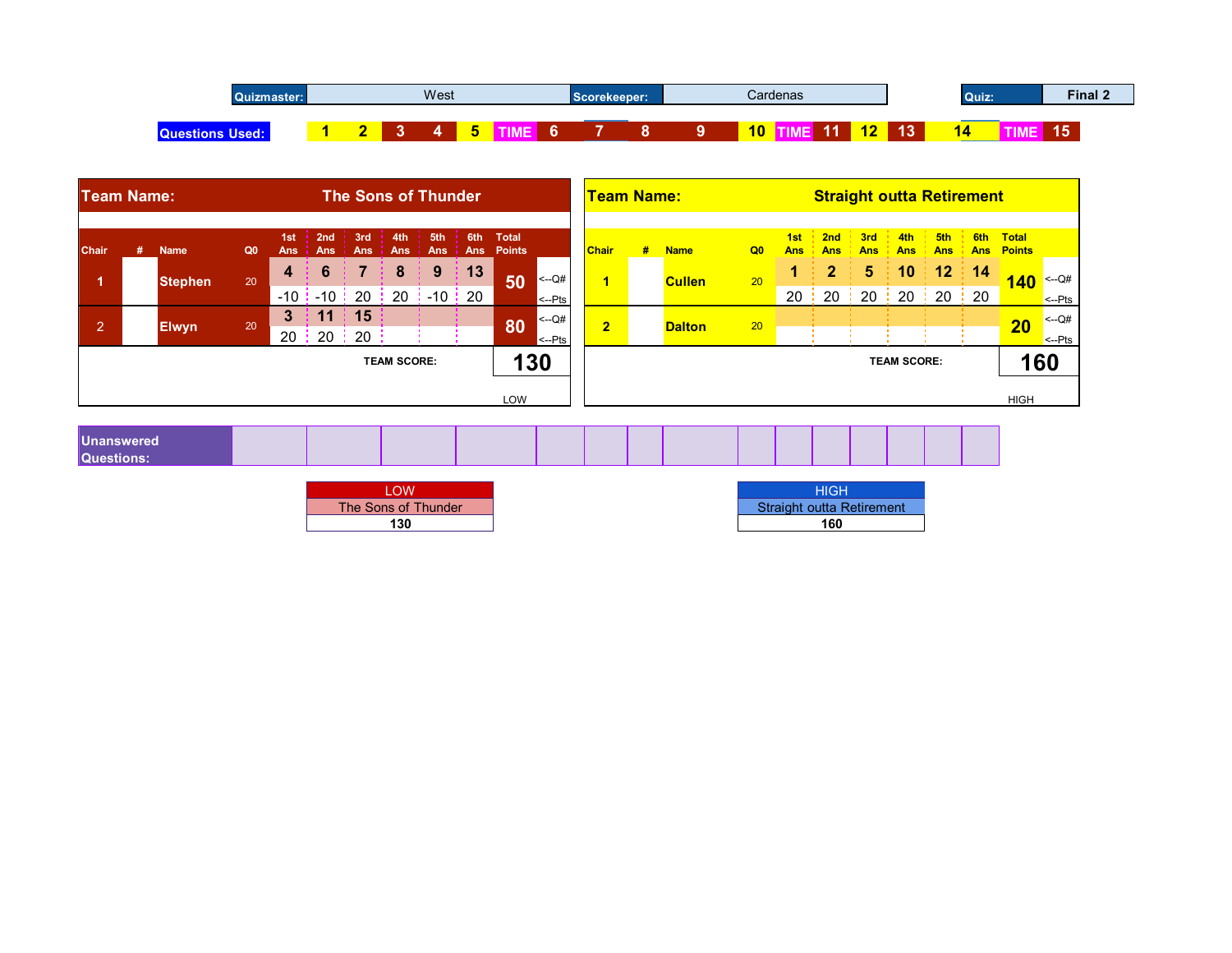| Quizmaster:     |  | West |  |     | Scorekeeper: |  |    | Cardenas |     |                      |    | Quiz:    | Final 2 |  |
|-----------------|--|------|--|-----|--------------|--|----|----------|-----|----------------------|----|----------|---------|--|
| Ou<br><br>вест. |  |      |  | . . |              |  | 10 |          | . . | $\overline{a}$<br>-- | 13 | . .<br>œ | 15      |  |

|                      |   |                        | Quizmaster:    |                      |                                               |                        |                            | West            |                         |               |                                           | Scorekeeper:         |                            |                |                | Cardenas          |                                  |                      |                    |                      | Quiz:    |                                | Final 2                     |
|----------------------|---|------------------------|----------------|----------------------|-----------------------------------------------|------------------------|----------------------------|-----------------|-------------------------|---------------|-------------------------------------------|----------------------|----------------------------|----------------|----------------|-------------------|----------------------------------|----------------------|--------------------|----------------------|----------|--------------------------------|-----------------------------|
|                      |   | <b>Questions Used:</b> |                |                      | $\blacktriangleleft$                          | $\overline{2}$         | 3 <sup>°</sup>             | $\overline{4}$  |                         | 5 TIME 6      |                                           | $\overline{7}$       | $\overline{\phantom{a}}$ 8 | 9 <sup>°</sup> |                |                   | 10 TIME 11 12 13                 |                      |                    |                      |          | 14 TIME 15                     |                             |
| <b>Team Name:</b>    |   |                        |                |                      |                                               |                        | <b>The Sons of Thunder</b> |                 |                         |               |                                           | <b>Team Name:</b>    |                            |                |                |                   | <b>Straight outta Retirement</b> |                      |                    |                      |          |                                |                             |
| <b>Chair</b>         | # | <b>Name</b>            | Q <sub>0</sub> | 1st<br><b>Ans</b>    | $\frac{1}{2}$ 2nd $\frac{1}{2}$<br><b>Ans</b> | <b>Ans</b>             | $3rd \t3th$ 5th<br>Ans     | Ans             | 6th Total<br><b>Ans</b> | <b>Points</b> |                                           | <b>Chair</b>         | #                          | <b>Name</b>    | Q <sub>0</sub> | 1st<br><b>Ans</b> | 2nd<br><b>Ans</b>                | 3rd<br><b>Ans</b>    | 4th<br><b>Ans</b>  | 5th<br><b>Ans</b>    |          | 6th Total<br><b>Ans Points</b> |                             |
| $\blacktriangleleft$ |   | <b>Stephen</b>         | 20             | 4                    | 6<br>$-10$ $-10$ $-1$                         | 20                     | 8                          | 9<br>$20: -10:$ | 13<br>20                | 50            | $\vert$ <--Q#<br>$\left  \leftarrow$ -Pts | $\blacktriangleleft$ |                            | <b>Cullen</b>  | 20             | 20                | $\mathbf{2}$<br>20               | 5 <sub>5</sub><br>20 | 10<br>20           | 12<br>$\frac{1}{20}$ | 14<br>20 | $140$ $\leftarrow$ Q#          | $\leftarrow$ -Pts           |
| $\mathbf{2}$         |   | <b>Elwyn</b>           | 20             | $3\phantom{a}$<br>20 | 11<br>20                                      | $\frac{1}{2}$ 15<br>20 |                            |                 |                         | 80            | $\leq -Q#$<br>$\left  \leftarrow$ -Pts    | $\overline{2}$       |                            | <b>Dalton</b>  | 20             |                   |                                  |                      |                    |                      |          | 20                             | $<-Q#$<br>$\leftarrow$ -Pts |
|                      |   |                        |                |                      |                                               |                        | <b>TEAM SCORE:</b>         |                 |                         | 130           |                                           |                      |                            |                |                |                   |                                  |                      | <b>TEAM SCORE:</b> |                      |          |                                | 160                         |
|                      |   |                        |                |                      |                                               |                        |                            |                 |                         | LOW           |                                           |                      |                            |                |                |                   |                                  |                      |                    |                      |          | <b>HIGH</b>                    |                             |

| <b>Inanswered</b> |  |  |  |  |  |  |  |  |
|-------------------|--|--|--|--|--|--|--|--|
| ıestions          |  |  |  |  |  |  |  |  |

| The Sons of Thunder |
|---------------------|
|                     |

| OW                  | HIGH                             |
|---------------------|----------------------------------|
| The Sons of Thunder | <b>Straight outta Retirement</b> |
| 130                 | 160                              |